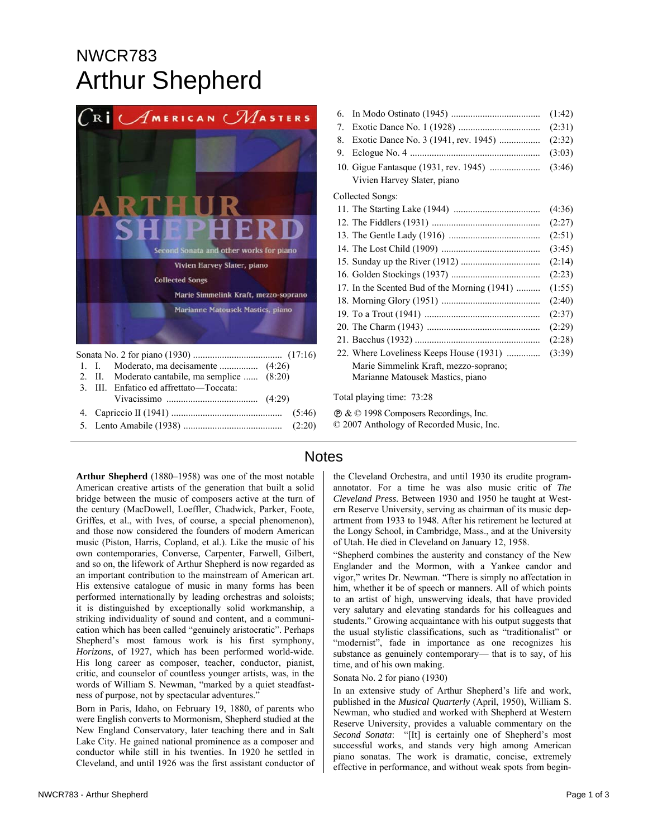# NWCR783 Arthur Shepherd



|  |  | 2. II. Moderato cantabile, ma semplice  (8:20) |  |  |
|--|--|------------------------------------------------|--|--|
|  |  | 3. III. Enfatico ed affrettato—Toccata:        |  |  |
|  |  |                                                |  |  |
|  |  |                                                |  |  |
|  |  |                                                |  |  |
|  |  |                                                |  |  |

## 6. In Modo Ostinato (1945) ..................................... (1:42) 7. Exotic Dance No. 1 (1928) .................................. (2:31) 8. Exotic Dance No. 3 (1941, rev. 1945) ................. (2:32) 9. Eclogue No. 4 ...................................................... (3:03) 10. Gigue Fantasque (1931, rev. 1945) ..................... (3:46) Vivien Harvey Slater, piano Collected Songs: 11. The Starting Lake (1944) .................................... (4:36) 12. The Fiddlers (1931) ............................................. (2:27) 13. The Gentle Lady (1916) ...................................... (2:51) 14. The Lost Child (1909) ......................................... (3:45) 15. Sunday up the River (1912) ................................. (2:14) 16. Golden Stockings (1937) ..................................... (2:23) 17. In the Scented Bud of the Morning (1941) .......... (1:55) 18. Morning Glory (1951) ......................................... (2:40) 19. To a Trout (1941) ................................................ (2:37) 20. The Charm (1943) ............................................... (2:29) 21. Bacchus (1932) .................................................... (2:28) 22. Where Loveliness Keeps House (1931) .............. (3:39) Marie Simmelink Kraft, mezzo-soprano; Marianne Matousek Mastics, piano

Total playing time: 73:28

Ê & © 1998 Composers Recordings, Inc. © 2007 Anthology of Recorded Music, Inc.

**Arthur Shepherd** (1880–1958) was one of the most notable American creative artists of the generation that built a solid bridge between the music of composers active at the turn of the century (MacDowell, Loeffler, Chadwick, Parker, Foote, Griffes, et al., with Ives, of course, a special phenomenon), and those now considered the founders of modern American music (Piston, Harris, Copland, et al.). Like the music of his own contemporaries, Converse, Carpenter, Farwell, Gilbert, and so on, the lifework of Arthur Shepherd is now regarded as an important contribution to the mainstream of American art. His extensive catalogue of music in many forms has been performed internationally by leading orchestras and soloists; it is distinguished by exceptionally solid workmanship, a striking individuality of sound and content, and a communication which has been called "genuinely aristocratic". Perhaps Shepherd's most famous work is his first symphony, *Horizons*, of 1927, which has been performed world-wide. His long career as composer, teacher, conductor, pianist, critic, and counselor of countless younger artists, was, in the words of William S. Newman, "marked by a quiet steadfastness of purpose, not by spectacular adventures."

Born in Paris, Idaho, on February 19, 1880, of parents who were English converts to Mormonism, Shepherd studied at the New England Conservatory, later teaching there and in Salt Lake City. He gained national prominence as a composer and conductor while still in his twenties. In 1920 he settled in Cleveland, and until 1926 was the first assistant conductor of

## **Notes**

the Cleveland Orchestra, and until 1930 its erudite programannotator. For a time he was also music critic of *The Cleveland Press*. Between 1930 and 1950 he taught at Western Reserve University, serving as chairman of its music department from 1933 to 1948. After his retirement he lectured at the Longy School, in Cambridge, Mass., and at the University of Utah. He died in Cleveland on January 12, 1958.

"Shepherd combines the austerity and constancy of the New Englander and the Mormon, with a Yankee candor and vigor," writes Dr. Newman. "There is simply no affectation in him, whether it be of speech or manners. All of which points to an artist of high, unswerving ideals, that have provided very salutary and elevating standards for his colleagues and students." Growing acquaintance with his output suggests that the usual stylistic classifications, such as "traditionalist" or "modernist", fade in importance as one recognizes his substance as genuinely contemporary— that is to say, of his time, and of his own making.

Sonata No. 2 for piano (1930)

In an extensive study of Arthur Shepherd's life and work, published in the *Musical Quarterly* (April, 1950), William S. Newman, who studied and worked with Shepherd at Western Reserve University, provides a valuable commentary on the *Second Sonata*: "[It] is certainly one of Shepherd's most successful works, and stands very high among American piano sonatas. The work is dramatic, concise, extremely effective in performance, and without weak spots from begin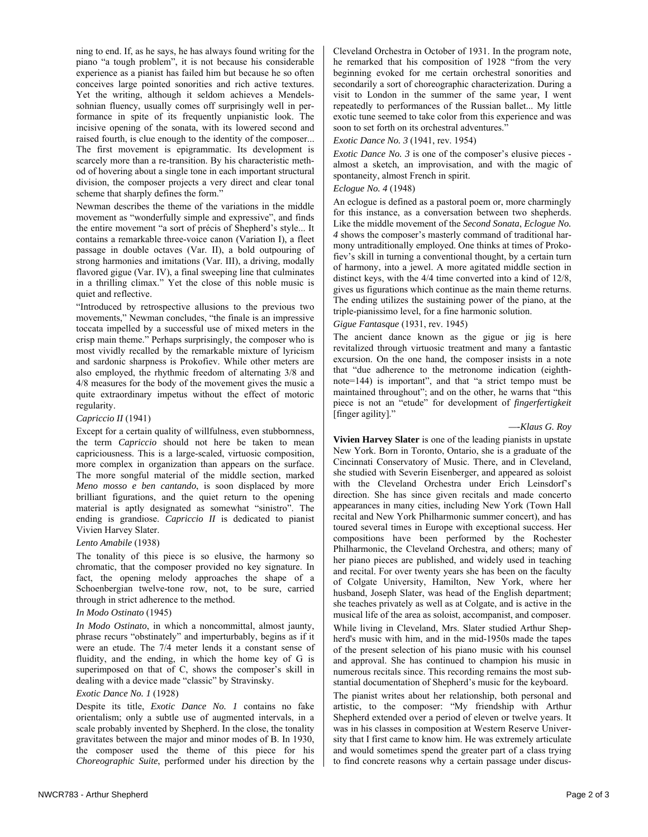ning to end. If, as he says, he has always found writing for the piano "a tough problem", it is not because his considerable experience as a pianist has failed him but because he so often conceives large pointed sonorities and rich active textures. Yet the writing, although it seldom achieves a Mendelssohnian fluency, usually comes off surprisingly well in performance in spite of its frequently unpianistic look. The incisive opening of the sonata, with its lowered second and raised fourth, is clue enough to the identity of the composer... The first movement is epigrammatic. Its development is scarcely more than a re-transition. By his characteristic method of hovering about a single tone in each important structural division, the composer projects a very direct and clear tonal scheme that sharply defines the form."

Newman describes the theme of the variations in the middle movement as "wonderfully simple and expressive", and finds the entire movement "a sort of précis of Shepherd's style... It contains a remarkable three-voice canon (Variation I), a fleet passage in double octaves (Var. II), a bold outpouring of strong harmonies and imitations (Var. III), a driving, modally flavored gigue (Var. IV), a final sweeping line that culminates in a thrilling climax." Yet the close of this noble music is quiet and reflective.

"Introduced by retrospective allusions to the previous two movements," Newman concludes, "the finale is an impressive toccata impelled by a successful use of mixed meters in the crisp main theme." Perhaps surprisingly, the composer who is most vividly recalled by the remarkable mixture of lyricism and sardonic sharpness is Prokofiev. While other meters are also employed, the rhythmic freedom of alternating 3/8 and 4/8 measures for the body of the movement gives the music a quite extraordinary impetus without the effect of motoric regularity.

#### *Capriccio II* (1941)

Except for a certain quality of willfulness, even stubbornness, the term *Capriccio* should not here be taken to mean capriciousness. This is a large-scaled, virtuosic composition, more complex in organization than appears on the surface. The more songful material of the middle section, marked *Meno mosso e ben cantando*, is soon displaced by more brilliant figurations, and the quiet return to the opening material is aptly designated as somewhat "sinistro". The ending is grandiose. *Capriccio II* is dedicated to pianist Vivien Harvey Slater.

#### *Lento Amabile* (1938)

The tonality of this piece is so elusive, the harmony so chromatic, that the composer provided no key signature. In fact, the opening melody approaches the shape of a Schoenbergian twelve-tone row, not, to be sure, carried through in strict adherence to the method.

#### *In Modo Ostinato* (1945)

*In Modo Ostinato*, in which a noncommittal, almost jaunty, phrase recurs "obstinately" and imperturbably, begins as if it were an etude. The 7/4 meter lends it a constant sense of fluidity, and the ending, in which the home key of G is superimposed on that of C, shows the composer's skill in dealing with a device made "classic" by Stravinsky.

#### *Exotic Dance No. 1* (1928)

Despite its title, *Exotic Dance No. 1* contains no fake orientalism; only a subtle use of augmented intervals, in a scale probably invented by Shepherd. In the close, the tonality gravitates between the major and minor modes of B. In 1930, the composer used the theme of this piece for his *Choreographic Suite*, performed under his direction by the Cleveland Orchestra in October of 1931. In the program note, he remarked that his composition of 1928 "from the very beginning evoked for me certain orchestral sonorities and secondarily a sort of choreographic characterization. During a visit to London in the summer of the same year, I went repeatedly to performances of the Russian ballet... My little exotic tune seemed to take color from this experience and was soon to set forth on its orchestral adventures."

## *Exotic Dance No. 3* (1941, rev. 1954)

*Exotic Dance No.* 3 is one of the composer's elusive pieces almost a sketch, an improvisation, and with the magic of spontaneity, almost French in spirit.

## *Eclogue No. 4* (1948)

An eclogue is defined as a pastoral poem or, more charmingly for this instance, as a conversation between two shepherds. Like the middle movement of the *Second Sonata*, *Eclogue No. 4* shows the composer's masterly command of traditional harmony untraditionally employed. One thinks at times of Prokofiev's skill in turning a conventional thought, by a certain turn of harmony, into a jewel. A more agitated middle section in distinct keys, with the 4/4 time converted into a kind of 12/8, gives us figurations which continue as the main theme returns. The ending utilizes the sustaining power of the piano, at the triple-pianissimo level, for a fine harmonic solution.

### *Gigue Fantasque* (1931, rev. 1945)

The ancient dance known as the gigue or jig is here revitalized through virtuosic treatment and many a fantastic excursion. On the one hand, the composer insists in a note that "due adherence to the metronome indication (eighthnote=144) is important", and that "a strict tempo must be maintained throughout"; and on the other, he warns that "this piece is not an "etude" for development of *fingerfertigkeit* [finger agility]."

#### *—-Klaus G. Roy*

**Vivien Harvey Slater** is one of the leading pianists in upstate New York. Born in Toronto, Ontario, she is a graduate of the Cincinnati Conservatory of Music. There, and in Cleveland, she studied with Severin Eisenberger, and appeared as soloist with the Cleveland Orchestra under Erich Leinsdorf's direction. She has since given recitals and made concerto appearances in many cities, including New York (Town Hall recital and New York Philharmonic summer concert), and has toured several times in Europe with exceptional success. Her compositions have been performed by the Rochester Philharmonic, the Cleveland Orchestra, and others; many of her piano pieces are published, and widely used in teaching and recital. For over twenty years she has been on the faculty of Colgate University, Hamilton, New York, where her husband, Joseph Slater, was head of the English department; she teaches privately as well as at Colgate, and is active in the musical life of the area as soloist, accompanist, and composer. While living in Cleveland, Mrs. Slater studied Arthur Shepherd's music with him, and in the mid-1950s made the tapes of the present selection of his piano music with his counsel and approval. She has continued to champion his music in numerous recitals since. This recording remains the most substantial documentation of Shepherd's music for the keyboard.

The pianist writes about her relationship, both personal and artistic, to the composer: "My friendship with Arthur Shepherd extended over a period of eleven or twelve years. It was in his classes in composition at Western Reserve University that I first came to know him. He was extremely articulate and would sometimes spend the greater part of a class trying to find concrete reasons why a certain passage under discus